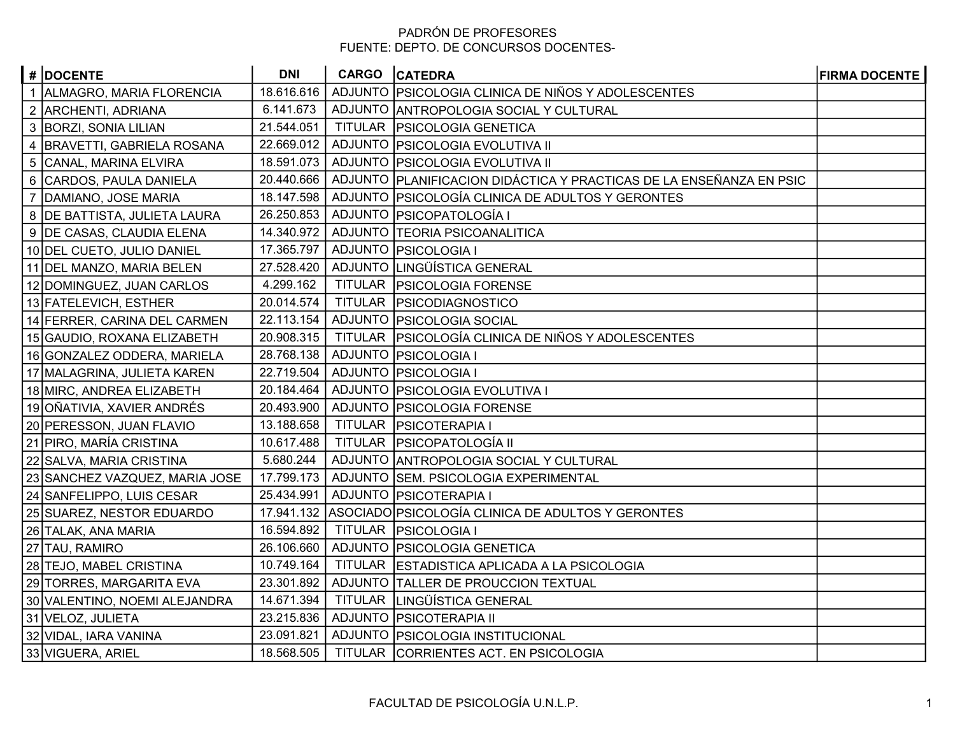## PADRÓN DE PROFESORES FUENTE: DEPTO. DE CONCURSOS DOCENTES-

| # DOCENTE                      | <b>DNI</b> | CARGO CATEDRA                                                       | <b>FIRMA DOCENTE</b> |
|--------------------------------|------------|---------------------------------------------------------------------|----------------------|
| 1 ALMAGRO, MARIA FLORENCIA     | 18.616.616 | ADJUNTO PSICOLOGIA CLINICA DE NIÑOS Y ADOLESCENTES                  |                      |
| 2 ARCHENTI, ADRIANA            | 6.141.673  | ADJUNTO ANTROPOLOGIA SOCIAL Y CULTURAL                              |                      |
| 3   BORZI, SONIA LILIAN        | 21.544.051 | TITULAR   PSICOLOGIA GENETICA                                       |                      |
| 4   BRAVETTI, GABRIELA ROSANA  | 22.669.012 | ADJUNTO PSICOLOGIA EVOLUTIVA II                                     |                      |
| 5 CANAL, MARINA ELVIRA         | 18.591.073 | ADJUNTO PSICOLOGIA EVOLUTIVA II                                     |                      |
| 6 CARDOS, PAULA DANIELA        | 20.440.666 | ADJUNTO PLANIFICACION DIDÁCTICA Y PRACTICAS DE LA ENSEÑANZA EN PSIC |                      |
| 7 DAMIANO, JOSE MARIA          | 18.147.598 | ADJUNTO   PSICOLOGÍA CLINICA DE ADULTOS Y GERONTES                  |                      |
| 8   DE BATTISTA, JULIETA LAURA | 26.250.853 | ADJUNTO   PSICOPATOLOGÍA I                                          |                      |
| 9   DE CASAS, CLAUDIA ELENA    | 14.340.972 | ADJUNTO TEORIA PSICOANALITICA                                       |                      |
| 10 DEL CUETO, JULIO DANIEL     | 17.365.797 | ADJUNTO   PSICOLOGIA I                                              |                      |
| 11 DEL MANZO, MARIA BELEN      | 27.528.420 | ADJUNTO LINGÜÍSTICA GENERAL                                         |                      |
| 12 DOMINGUEZ, JUAN CARLOS      | 4.299.162  | TITULAR   PSICOLOGIA FORENSE                                        |                      |
| 13 FATELEVICH, ESTHER          | 20.014.574 | TITULAR   PSICODIAGNOSTICO                                          |                      |
| 14 FERRER, CARINA DEL CARMEN   | 22.113.154 | ADJUNTO   PSICOLOGIA SOCIAL                                         |                      |
| 15 GAUDIO, ROXANA ELIZABETH    | 20.908.315 | TITULAR   PSICOLOGÍA CLINICA DE NIÑOS Y ADOLESCENTES                |                      |
| 16 GONZALEZ ODDERA, MARIELA    | 28.768.138 | ADJUNTO   PSICOLOGIA I                                              |                      |
| 17 MALAGRINA, JULIETA KAREN    | 22.719.504 | ADJUNTO   PSICOLOGIA I                                              |                      |
| 18 MIRC, ANDREA ELIZABETH      | 20.184.464 | ADJUNTO   PSICOLOGIA EVOLUTIVA I                                    |                      |
| 19 OÑATIVIA, XAVIER ANDRÉS     | 20.493.900 | ADJUNTO   PSICOLOGIA FORENSE                                        |                      |
| 20 PERESSON, JUAN FLAVIO       | 13.188.658 | TITULAR   PSICOTERAPIA I                                            |                      |
| 21 PIRO, MARÍA CRISTINA        | 10.617.488 | TITULAR   PSICOPATOLOGÍA II                                         |                      |
| 22 SALVA, MARIA CRISTINA       | 5.680.244  | ADJUNTO ANTROPOLOGIA SOCIAL Y CULTURAL                              |                      |
| 23 SANCHEZ VAZQUEZ, MARIA JOSE | 17.799.173 | ADJUNTO SEM. PSICOLOGIA EXPERIMENTAL                                |                      |
| 24 SANFELIPPO, LUIS CESAR      | 25.434.991 | ADJUNTO   PSICOTERAPIA I                                            |                      |
| 25 SUAREZ, NESTOR EDUARDO      |            | 17.941.132 ASOCIADO PSICOLOGÍA CLINICA DE ADULTOS Y GERONTES        |                      |
| 26 TALAK, ANA MARIA            | 16.594.892 | TITULAR   PSICOLOGIA I                                              |                      |
| 27 TAU, RAMIRO                 | 26.106.660 | ADJUNTO   PSICOLOGIA GENETICA                                       |                      |
| 28 TEJO, MABEL CRISTINA        | 10.749.164 | TITULAR ESTADISTICA APLICADA A LA PSICOLOGIA                        |                      |
| 29 TORRES, MARGARITA EVA       | 23.301.892 | ADJUNTO   TALLER DE PROUCCION TEXTUAL                               |                      |
| 30 VALENTINO, NOEMI ALEJANDRA  | 14.671.394 | TITULAR   LINGÜÍSTICA GENERAL                                       |                      |
| 31 VELOZ, JULIETA              | 23.215.836 | ADJUNTO   PSICOTERAPIA II                                           |                      |
| 32 VIDAL, IARA VANINA          | 23.091.821 | ADJUNTO   PSICOLOGIA INSTITUCIONAL                                  |                      |
| 33 VIGUERA, ARIEL              | 18.568.505 | TITULAR CORRIENTES ACT. EN PSICOLOGIA                               |                      |